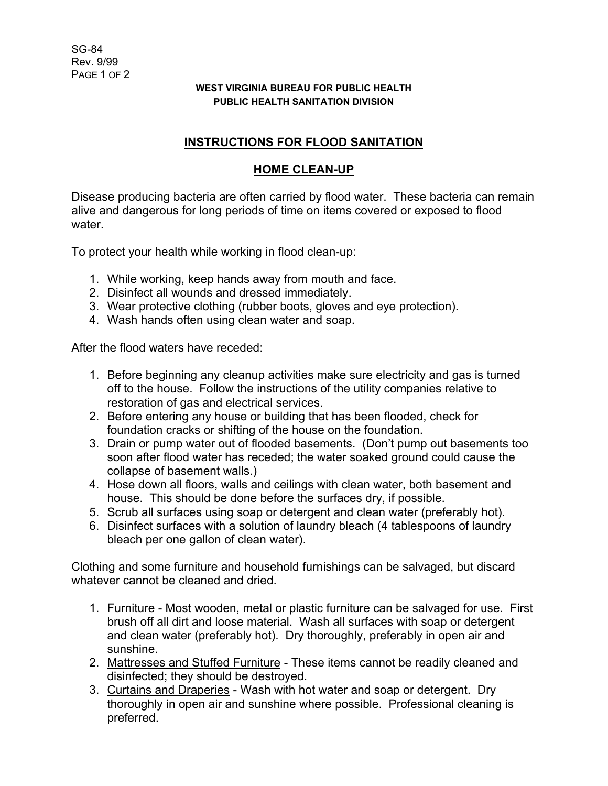## **WEST VIRGINIA BUREAU FOR PUBLIC HEALTH PUBLIC HEALTH SANITATION DIVISION**

## **INSTRUCTIONS FOR FLOOD SANITATION**

## **HOME CLEAN-UP**

Disease producing bacteria are often carried by flood water. These bacteria can remain alive and dangerous for long periods of time on items covered or exposed to flood water.

To protect your health while working in flood clean-up:

- 1. While working, keep hands away from mouth and face.
- 2. Disinfect all wounds and dressed immediately.
- 3. Wear protective clothing (rubber boots, gloves and eye protection).
- 4. Wash hands often using clean water and soap.

After the flood waters have receded:

- 1. Before beginning any cleanup activities make sure electricity and gas is turned off to the house. Follow the instructions of the utility companies relative to restoration of gas and electrical services.
- 2. Before entering any house or building that has been flooded, check for foundation cracks or shifting of the house on the foundation.
- 3. Drain or pump water out of flooded basements. (Don't pump out basements too soon after flood water has receded; the water soaked ground could cause the collapse of basement walls.)
- 4. Hose down all floors, walls and ceilings with clean water, both basement and house. This should be done before the surfaces dry, if possible.
- 5. Scrub all surfaces using soap or detergent and clean water (preferably hot).
- 6. Disinfect surfaces with a solution of laundry bleach (4 tablespoons of laundry bleach per one gallon of clean water).

Clothing and some furniture and household furnishings can be salvaged, but discard whatever cannot be cleaned and dried.

- 1. Furniture Most wooden, metal or plastic furniture can be salvaged for use. First brush off all dirt and loose material. Wash all surfaces with soap or detergent and clean water (preferably hot). Dry thoroughly, preferably in open air and sunshine.
- 2. Mattresses and Stuffed Furniture These items cannot be readily cleaned and disinfected; they should be destroyed.
- 3. Curtains and Draperies Wash with hot water and soap or detergent. Dry thoroughly in open air and sunshine where possible. Professional cleaning is preferred.